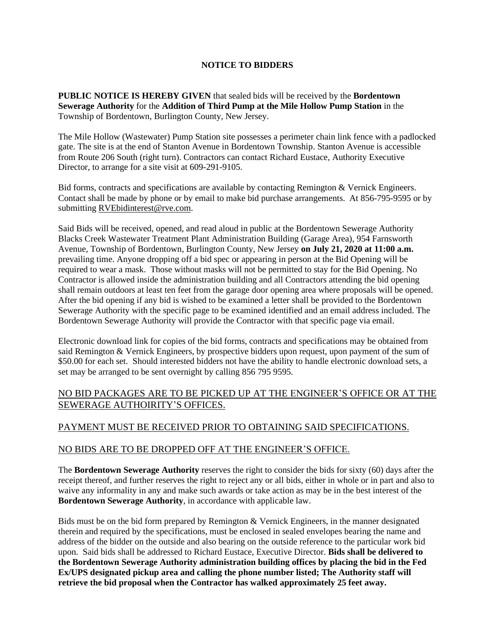## **NOTICE TO BIDDERS**

**PUBLIC NOTICE IS HEREBY GIVEN** that sealed bids will be received by the **Bordentown Sewerage Authority** for the **Addition of Third Pump at the Mile Hollow Pump Station** in the Township of Bordentown, Burlington County, New Jersey.

The Mile Hollow (Wastewater) Pump Station site possesses a perimeter chain link fence with a padlocked gate. The site is at the end of Stanton Avenue in Bordentown Township. Stanton Avenue is accessible from Route 206 South (right turn). Contractors can contact Richard Eustace, Authority Executive Director, to arrange for a site visit at 609-291-9105.

Bid forms, contracts and specifications are available by contacting Remington & Vernick Engineers. Contact shall be made by phone or by email to make bid purchase arrangements. At 856-795-9595 or by submitting [RVEbidinterest@rve.com.](mailto:RVEbidinterest@rve.com)

Said Bids will be received, opened, and read aloud in public at the Bordentown Sewerage Authority Blacks Creek Wastewater Treatment Plant Administration Building (Garage Area), 954 Farnsworth Avenue, Township of Bordentown, Burlington County, New Jersey **on July 21, 2020 at 11:00 a.m.** prevailing time. Anyone dropping off a bid spec or appearing in person at the Bid Opening will be required to wear a mask. Those without masks will not be permitted to stay for the Bid Opening. No Contractor is allowed inside the administration building and all Contractors attending the bid opening shall remain outdoors at least ten feet from the garage door opening area where proposals will be opened. After the bid opening if any bid is wished to be examined a letter shall be provided to the Bordentown Sewerage Authority with the specific page to be examined identified and an email address included. The Bordentown Sewerage Authority will provide the Contractor with that specific page via email.

Electronic download link for copies of the bid forms, contracts and specifications may be obtained from said Remington & Vernick Engineers, by prospective bidders upon request, upon payment of the sum of \$50.00 for each set. Should interested bidders not have the ability to handle electronic download sets, a set may be arranged to be sent overnight by calling 856 795 9595.

# NO BID PACKAGES ARE TO BE PICKED UP AT THE ENGINEER'S OFFICE OR AT THE SEWERAGE AUTHOIRITY'S OFFICES.

## PAYMENT MUST BE RECEIVED PRIOR TO OBTAINING SAID SPECIFICATIONS.

#### NO BIDS ARE TO BE DROPPED OFF AT THE ENGINEER'S OFFICE.

The **Bordentown Sewerage Authority** reserves the right to consider the bids for sixty (60) days after the receipt thereof, and further reserves the right to reject any or all bids, either in whole or in part and also to waive any informality in any and make such awards or take action as may be in the best interest of the **Bordentown Sewerage Authority**, in accordance with applicable law.

Bids must be on the bid form prepared by Remington & Vernick Engineers, in the manner designated therein and required by the specifications, must be enclosed in sealed envelopes bearing the name and address of the bidder on the outside and also bearing on the outside reference to the particular work bid upon. Said bids shall be addressed to Richard Eustace, Executive Director. **Bids shall be delivered to the Bordentown Sewerage Authority administration building offices by placing the bid in the Fed Ex/UPS designated pickup area and calling the phone number listed; The Authority staff will retrieve the bid proposal when the Contractor has walked approximately 25 feet away.**